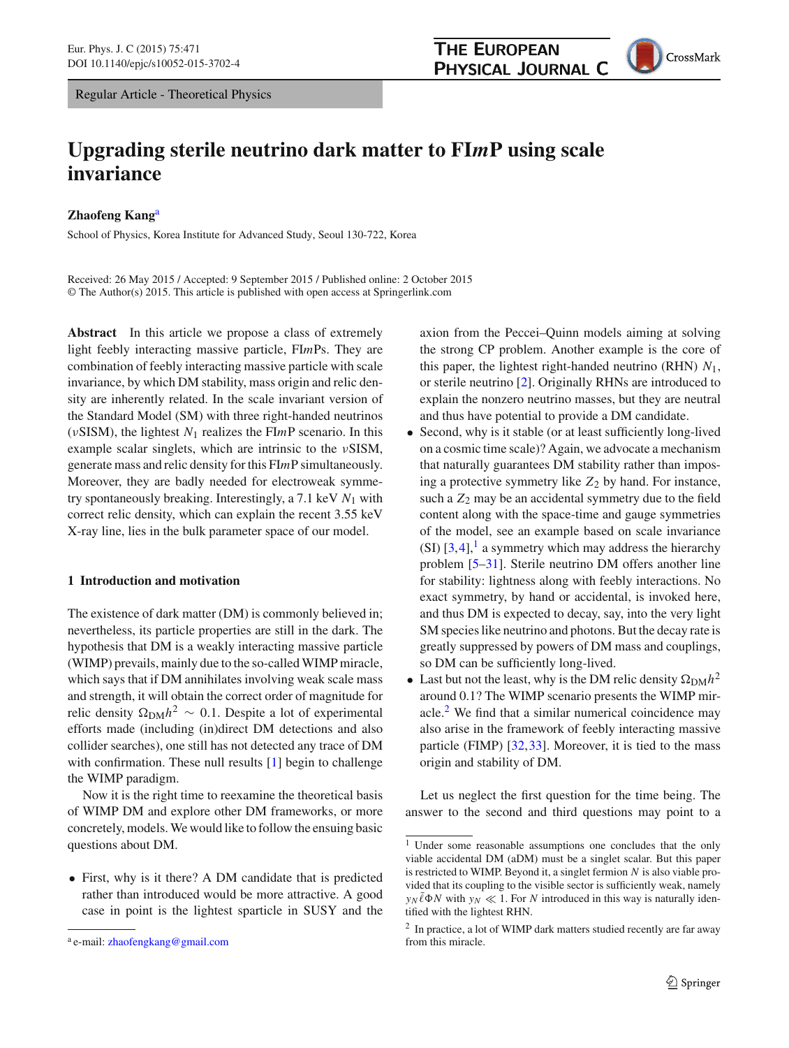Regular Article - Theoretical Physics

CrossMark

# **Upgrading sterile neutrino dark matter to FI***m***P using scale invariance**

**Zhaofeng Kang**<sup>a</sup>

School of Physics, Korea Institute for Advanced Study, Seoul 130-722, Korea

Received: 26 May 2015 / Accepted: 9 September 2015 / Published online: 2 October 2015 © The Author(s) 2015. This article is published with open access at Springerlink.com

**Abstract** In this article we propose a class of extremely light feebly interacting massive particle, FI*m*Ps. They are combination of feebly interacting massive particle with scale invariance, by which DM stability, mass origin and relic density are inherently related. In the scale invariant version of the Standard Model (SM) with three right-handed neutrinos (νSISM), the lightest *N*<sup>1</sup> realizes the FI*m*P scenario. In this example scalar singlets, which are intrinsic to the νSISM, generate mass and relic density for this FI*m*P simultaneously. Moreover, they are badly needed for electroweak symmetry spontaneously breaking. Interestingly, a 7.1 keV *N*<sup>1</sup> with correct relic density, which can explain the recent 3.55 keV X-ray line, lies in the bulk parameter space of our model.

## **1 Introduction and motivation**

The existence of dark matter (DM) is commonly believed in; nevertheless, its particle properties are still in the dark. The hypothesis that DM is a weakly interacting massive particle (WIMP) prevails, mainly due to the so-called WIMP miracle, which says that if DM annihilates involving weak scale mass and strength, it will obtain the correct order of magnitude for relic density  $Ω<sub>DM</sub>h<sup>2</sup> ∼ 0.1$ . Despite a lot of experimental efforts made (including (in)direct DM detections and also collider searches), one still has not detected any trace of DM with confirmation. These null results [\[1\]](#page-10-0) begin to challenge the WIMP paradigm.

Now it is the right time to reexamine the theoretical basis of WIMP DM and explore other DM frameworks, or more concretely, models. We would like to follow the ensuing basic questions about DM.

• First, why is it there? A DM candidate that is predicted rather than introduced would be more attractive. A good case in point is the lightest sparticle in SUSY and the axion from the Peccei–Quinn models aiming at solving the strong CP problem. Another example is the core of this paper, the lightest right-handed neutrino (RHN) *N*1, or sterile neutrino [\[2](#page-10-1)]. Originally RHNs are introduced to explain the nonzero neutrino masses, but they are neutral and thus have potential to provide a DM candidate.

- Second, why is it stable (or at least sufficiently long-lived on a cosmic time scale)? Again, we advocate a mechanism that naturally guarantees DM stability rather than imposing a protective symmetry like  $Z_2$  by hand. For instance, such a  $Z_2$  may be an accidental symmetry due to the field content along with the space-time and gauge symmetries of the model, see an example based on scale invariance (SI)  $[3,4]$  $[3,4]$  $[3,4]$ , a symmetry which may address the hierarchy problem [\[5](#page-10-4)[–31\]](#page-10-5). Sterile neutrino DM offers another line for stability: lightness along with feebly interactions. No exact symmetry, by hand or accidental, is invoked here, and thus DM is expected to decay, say, into the very light SM species like neutrino and photons. But the decay rate is greatly suppressed by powers of DM mass and couplings, so DM can be sufficiently long-lived.
- Last but not the least, why is the DM relic density  $\Omega_{\text{DM}}h^2$ around 0.1? The WIMP scenario presents the WIMP miracle. $<sup>2</sup>$  $<sup>2</sup>$  $<sup>2</sup>$  We find that a similar numerical coincidence may</sup> also arise in the framework of feebly interacting massive particle (FIMP) [\[32](#page-10-6)[,33](#page-10-7)]. Moreover, it is tied to the mass origin and stability of DM.

Let us neglect the first question for the time being. The answer to the second and third questions may point to a

<sup>a</sup> e-mail: [zhaofengkang@gmail.com](mailto:zhaofengkang@gmail.com)

<span id="page-0-0"></span> $\frac{1}{1}$  Under some reasonable assumptions one concludes that the only viable accidental DM (aDM) must be a singlet scalar. But this paper is restricted to WIMP. Beyond it, a singlet fermion *N* is also viable provided that its coupling to the visible sector is sufficiently weak, namely  $y_N\bar{\ell}\Phi N$  with  $y_N \ll 1$ . For *N* introduced in this way is naturally identified with the lightest RHN.

<span id="page-0-1"></span><sup>&</sup>lt;sup>2</sup> In practice, a lot of WIMP dark matters studied recently are far away from this miracle.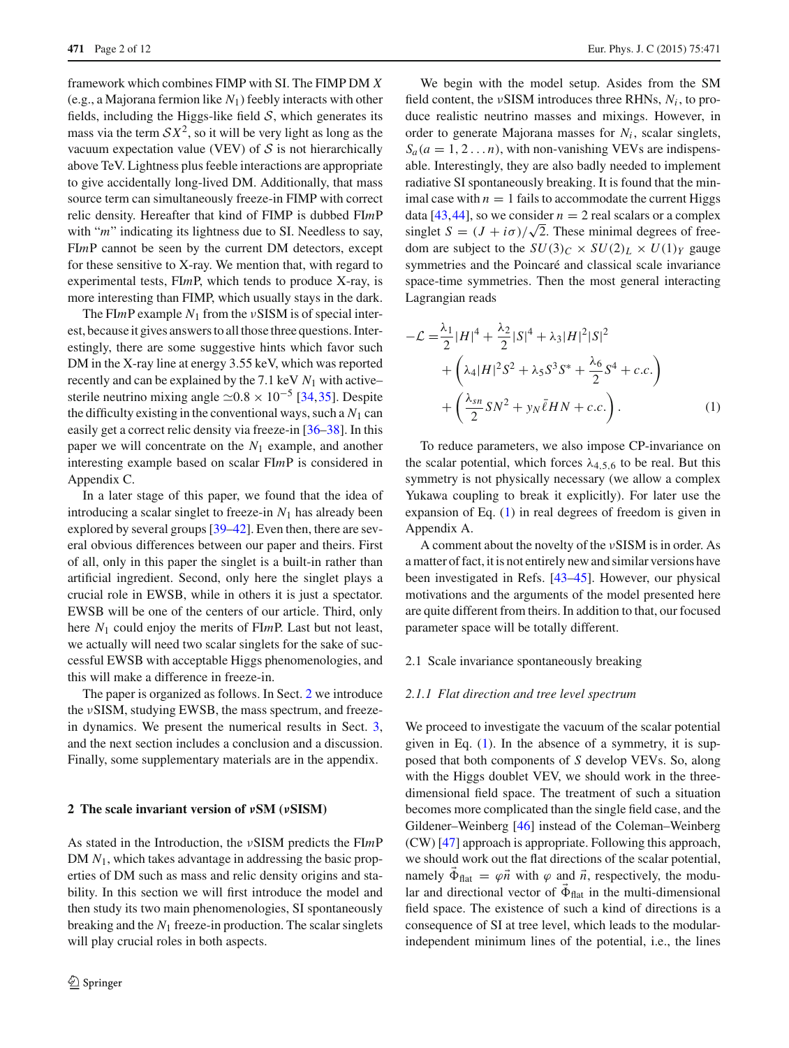framework which combines FIMP with SI. The FIMP DM *X* (e.g., a Majorana fermion like *N*1) feebly interacts with other fields, including the Higgs-like field  $S$ , which generates its mass via the term  $\mathcal{S}X^2$ , so it will be very light as long as the vacuum expectation value (VEV) of *S* is not hierarchically above TeV. Lightness plus feeble interactions are appropriate to give accidentally long-lived DM. Additionally, that mass source term can simultaneously freeze-in FIMP with correct relic density. Hereafter that kind of FIMP is dubbed FI*m*P with "*m*" indicating its lightness due to SI. Needless to say, FI*m*P cannot be seen by the current DM detectors, except for these sensitive to X-ray. We mention that, with regard to experimental tests, FI*m*P, which tends to produce X-ray, is more interesting than FIMP, which usually stays in the dark.

The FI*m*P example *N*<sup>1</sup> from the νSISM is of special interest, because it gives answers to all those three questions. Interestingly, there are some suggestive hints which favor such DM in the X-ray line at energy 3.55 keV, which was reported recently and can be explained by the 7.1 keV *N*<sup>1</sup> with active– sterile neutrino mixing angle  $\simeq 0.8 \times 10^{-5}$  [\[34](#page-10-8)[,35](#page-10-9)]. Despite the difficulty existing in the conventional ways, such a  $N_1$  can easily get a correct relic density via freeze-in [\[36](#page-10-10)[–38\]](#page-10-11). In this paper we will concentrate on the *N*<sup>1</sup> example, and another interesting example based on scalar FI*m*P is considered in Appendix C.

In a later stage of this paper, we found that the idea of introducing a scalar singlet to freeze-in  $N_1$  has already been explored by several groups [\[39](#page-10-12)[–42](#page-10-13)]. Even then, there are several obvious differences between our paper and theirs. First of all, only in this paper the singlet is a built-in rather than artificial ingredient. Second, only here the singlet plays a crucial role in EWSB, while in others it is just a spectator. EWSB will be one of the centers of our article. Third, only here *N*<sup>1</sup> could enjoy the merits of FI*m*P. Last but not least, we actually will need two scalar singlets for the sake of successful EWSB with acceptable Higgs phenomenologies, and this will make a difference in freeze-in.

The paper is organized as follows. In Sect. [2](#page-1-0) we introduce the νSISM, studying EWSB, the mass spectrum, and freezein dynamics. We present the numerical results in Sect. [3,](#page-6-0) and the next section includes a conclusion and a discussion. Finally, some supplementary materials are in the appendix.

#### <span id="page-1-0"></span>**2 The scale invariant version of** *ν***SM (***ν***SISM)**

As stated in the Introduction, the νSISM predicts the FI*m*P DM  $N_1$ , which takes advantage in addressing the basic properties of DM such as mass and relic density origins and stability. In this section we will first introduce the model and then study its two main phenomenologies, SI spontaneously breaking and the *N*<sup>1</sup> freeze-in production. The scalar singlets will play crucial roles in both aspects.

We begin with the model setup. Asides from the SM field content, the  $\nu$ SISM introduces three RHNs,  $N_i$ , to produce realistic neutrino masses and mixings. However, in order to generate Majorana masses for  $N_i$ , scalar singlets,  $S_a(a = 1, 2, \ldots n)$ , with non-vanishing VEVs are indispensable. Interestingly, they are also badly needed to implement radiative SI spontaneously breaking. It is found that the minimal case with  $n = 1$  fails to accommodate the current Higgs data [\[43](#page-10-14),[44](#page-10-15)], so we consider  $n = 2$  real scalars or a complex singlet  $S = (J + i\sigma)/\sqrt{2}$ . These minimal degrees of freedom are subject to the  $SU(3)_C \times SU(2)_L \times U(1)_Y$  gauge symmetries and the Poincaré and classical scale invariance space-time symmetries. Then the most general interacting Lagrangian reads

$$
-\mathcal{L} = \frac{\lambda_1}{2} |H|^4 + \frac{\lambda_2}{2} |S|^4 + \lambda_3 |H|^2 |S|^2
$$
  
+  $\left(\lambda_4 |H|^2 S^2 + \lambda_5 S^3 S^* + \frac{\lambda_6}{2} S^4 + c.c.\right)$   
+  $\left(\frac{\lambda_{sn}}{2} S N^2 + y_N \bar{\ell} H N + c.c.\right).$  (1)

<span id="page-1-1"></span>To reduce parameters, we also impose CP-invariance on the scalar potential, which forces  $\lambda_{4,5,6}$  to be real. But this symmetry is not physically necessary (we allow a complex Yukawa coupling to break it explicitly). For later use the expansion of Eq. [\(1\)](#page-1-1) in real degrees of freedom is given in Appendix A.

A comment about the novelty of the νSISM is in order. As a matter of fact, it is not entirely new and similar versions have been investigated in Refs. [\[43](#page-10-14)[–45](#page-10-16)]. However, our physical motivations and the arguments of the model presented here are quite different from theirs. In addition to that, our focused parameter space will be totally different.

#### 2.1 Scale invariance spontaneously breaking

#### *2.1.1 Flat direction and tree level spectrum*

We proceed to investigate the vacuum of the scalar potential given in Eq. [\(1\)](#page-1-1). In the absence of a symmetry, it is supposed that both components of *S* develop VEVs. So, along with the Higgs doublet VEV, we should work in the threedimensional field space. The treatment of such a situation becomes more complicated than the single field case, and the Gildener–Weinberg [\[46](#page-10-17)] instead of the Coleman–Weinberg (CW) [\[47](#page-10-18)] approach is appropriate. Following this approach, we should work out the flat directions of the scalar potential, namely  $\vec{\Phi}_{\text{flat}} = \varphi \vec{n}$  with  $\varphi$  and  $\vec{n}$ , respectively, the modular and directional vector of  $\vec{\Phi}_{\text{flat}}$  in the multi-dimensional field space. The existence of such a kind of directions is a consequence of SI at tree level, which leads to the modularindependent minimum lines of the potential, i.e., the lines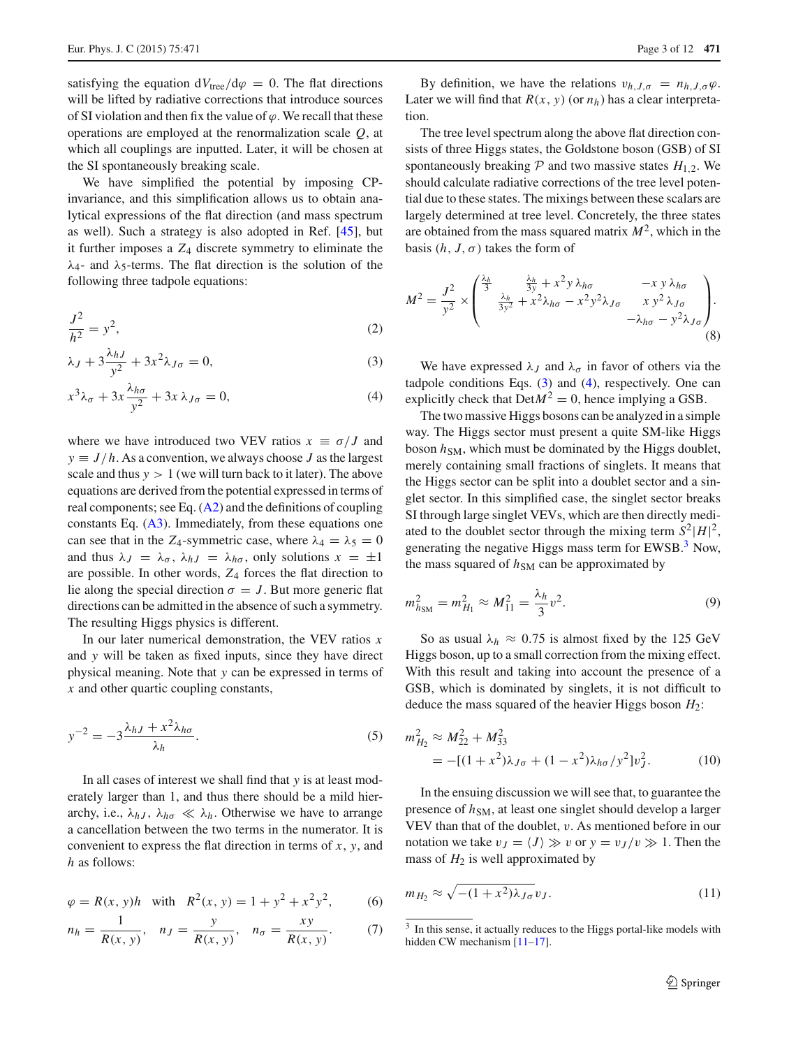satisfying the equation  $dV_{\text{tree}}/d\varphi = 0$ . The flat directions will be lifted by radiative corrections that introduce sources of SI violation and then fix the value of  $\varphi$ . We recall that these operations are employed at the renormalization scale *Q*, at which all couplings are inputted. Later, it will be chosen at the SI spontaneously breaking scale.

We have simplified the potential by imposing CPinvariance, and this simplification allows us to obtain analytical expressions of the flat direction (and mass spectrum as well). Such a strategy is also adopted in Ref. [\[45](#page-10-16)], but it further imposes a *Z*<sup>4</sup> discrete symmetry to eliminate the  $λ$ <sub>4</sub>- and  $λ$ <sub>5</sub>-terms. The flat direction is the solution of the following three tadpole equations:

$$
\frac{J^2}{h^2} = y^2,\tag{2}
$$

$$
\lambda_J + 3\frac{\lambda_{hJ}}{y^2} + 3x^2 \lambda_{J\sigma} = 0, \tag{3}
$$

$$
x^{3}\lambda_{\sigma} + 3x \frac{\lambda_{h\sigma}}{y^{2}} + 3x \lambda_{J\sigma} = 0, \qquad (4)
$$

where we have introduced two VEV ratios  $x \equiv \sigma / J$  and  $y \equiv J/h$ . As a convention, we always choose *J* as the largest scale and thus  $y > 1$  (we will turn back to it later). The above equations are derived from the potential expressed in terms of real components; see Eq.  $(A2)$  and the definitions of coupling constants Eq. [\(A3\)](#page-9-1). Immediately, from these equations one can see that in the *Z*<sub>4</sub>-symmetric case, where  $\lambda_4 = \lambda_5 = 0$ and thus  $\lambda_J = \lambda_\sigma$ ,  $\lambda_{hJ} = \lambda_{h\sigma}$ , only solutions  $x = \pm 1$ are possible. In other words, *Z*<sup>4</sup> forces the flat direction to lie along the special direction  $\sigma = J$ . But more generic flat directions can be admitted in the absence of such a symmetry. The resulting Higgs physics is different.

In our later numerical demonstration, the VEV ratios *x* and *y* will be taken as fixed inputs, since they have direct physical meaning. Note that *y* can be expressed in terms of *x* and other quartic coupling constants,

$$
y^{-2} = -3\frac{\lambda_{hJ} + x^2 \lambda_{h\sigma}}{\lambda_h}.
$$
 (5)

In all cases of interest we shall find that *y* is at least moderately larger than 1, and thus there should be a mild hierarchy, i.e.,  $\lambda_{hJ}$ ,  $\lambda_{h\sigma} \ll \lambda_h$ . Otherwise we have to arrange a cancellation between the two terms in the numerator. It is convenient to express the flat direction in terms of *x*, *y*, and *h* as follows:

$$
\varphi = R(x, y)h \quad \text{with} \quad R^2(x, y) = 1 + y^2 + x^2y^2,\tag{6}
$$

$$
n_h = \frac{1}{R(x, y)}, \quad n_J = \frac{y}{R(x, y)}, \quad n_{\sigma} = \frac{xy}{R(x, y)}.
$$
 (7)

By definition, we have the relations  $v_{h,J,\sigma} = n_{h,J,\sigma} \varphi$ . Later we will find that  $R(x, y)$  (or  $n_h$ ) has a clear interpretation.

The tree level spectrum along the above flat direction consists of three Higgs states, the Goldstone boson (GSB) of SI spontaneously breaking  $P$  and two massive states  $H_{1,2}$ . We should calculate radiative corrections of the tree level potential due to these states. The mixings between these scalars are largely determined at tree level. Concretely, the three states are obtained from the mass squared matrix  $M^2$ , which in the basis  $(h, J, \sigma)$  takes the form of

$$
M^{2} = \frac{J^{2}}{y^{2}} \times \begin{pmatrix} \frac{\lambda_{h}}{3} & \frac{\lambda_{h}}{3y} + x^{2}y \lambda_{h\sigma} & -xy \lambda_{h\sigma} \\ \frac{\lambda_{h}}{3y^{2}} + x^{2}\lambda_{h\sigma} - x^{2}y^{2}\lambda_{J\sigma} & xy^{2} \lambda_{J\sigma} \\ -\lambda_{h\sigma} - y^{2}\lambda_{J\sigma} & (8) \end{pmatrix}.
$$

<span id="page-2-1"></span><span id="page-2-0"></span>We have expressed  $\lambda_J$  and  $\lambda_\sigma$  in favor of others via the tadpole conditions Eqs.  $(3)$  and  $(4)$ , respectively. One can explicitly check that  $Det M^2 = 0$ , hence implying a GSB.

The two massive Higgs bosons can be analyzed in a simple way. The Higgs sector must present a quite SM-like Higgs boson  $h_{SM}$ , which must be dominated by the Higgs doublet, merely containing small fractions of singlets. It means that the Higgs sector can be split into a doublet sector and a singlet sector. In this simplified case, the singlet sector breaks SI through large singlet VEVs, which are then directly mediated to the doublet sector through the mixing term  $S^2|H|^2$ , generating the negative Higgs mass term for EWSB.<sup>3</sup> Now, the mass squared of  $h_{SM}$  can be approximated by

$$
m_{h_{\rm SM}}^2 = m_{H_1}^2 \approx M_{11}^2 = \frac{\lambda_h}{3} v^2. \tag{9}
$$

So as usual  $\lambda_h \approx 0.75$  is almost fixed by the 125 GeV Higgs boson, up to a small correction from the mixing effect. With this result and taking into account the presence of a GSB, which is dominated by singlets, it is not difficult to deduce the mass squared of the heavier Higgs boson *H*2:

$$
m_{H_2}^2 \approx M_{22}^2 + M_{33}^2
$$
  
= -[(1+x<sup>2</sup>) $\lambda_{J\sigma}$  + (1-x<sup>2</sup>) $\lambda_{h\sigma}$ /y<sup>2</sup>]v<sub>J</sub><sup>2</sup>. (10)

In the ensuing discussion we will see that, to guarantee the presence of  $h_{SM}$ , at least one singlet should develop a larger VEV than that of the doublet, v. As mentioned before in our notation we take  $v_J = \langle J \rangle \gg v$  or  $y = v_J/v \gg 1$ . Then the mass of  $H_2$  is well approximated by

<span id="page-2-4"></span><span id="page-2-3"></span>
$$
m_{H_2} \approx \sqrt{-(1+x^2)\lambda_{J\sigma}} v_J. \tag{11}
$$

<span id="page-2-2"></span><sup>&</sup>lt;sup>3</sup> In this sense, it actually reduces to the Higgs portal-like models with hidden CW mechanism [\[11](#page-10-19)[–17\]](#page-10-20).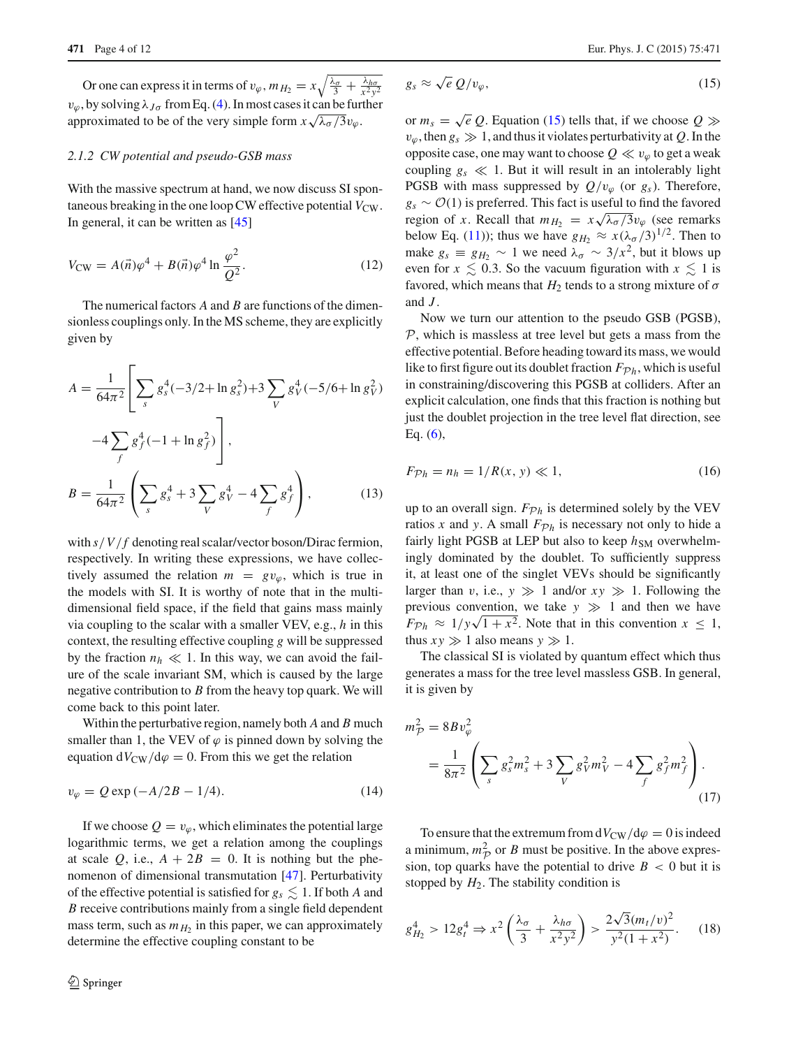Or one can express it in terms of  $v_{\varphi}$ ,  $m_{H_2} = x \sqrt{\frac{\lambda_{\sigma}}{3} + \frac{\lambda_{h\sigma}}{x^2 y^2}}$  $v_{\varphi}$ , by solving  $\lambda_{J\sigma}$  from Eq. [\(4\)](#page-2-1). In most cases it can be further approximated to be of the very simple form  $x\sqrt{\lambda_{\sigma}/3}v_{\varphi}$ .

## *2.1.2 CW potential and pseudo-GSB mass*

With the massive spectrum at hand, we now discuss SI spontaneous breaking in the one loop CW effective potential  $V_{\text{CW}}$ . In general, it can be written as [\[45](#page-10-16)]

$$
V_{\rm CW} = A(\vec{n})\varphi^4 + B(\vec{n})\varphi^4 \ln \frac{\varphi^2}{Q^2}.
$$
 (12)

The numerical factors *A* and *B* are functions of the dimensionless couplings only. In the MS scheme, they are explicitly given by

$$
A = \frac{1}{64\pi^2} \left[ \sum_s g_s^4 (-3/2 + \ln g_s^2) + 3 \sum_V g_V^4 (-5/6 + \ln g_V^2) \right] \times
$$
  
\n
$$
-4 \sum_f g_f^4 (-1 + \ln g_f^2) \Bigg],
$$
  
\n
$$
B = \frac{1}{64\pi^2} \left( \sum_s g_s^4 + 3 \sum_V g_V^4 - 4 \sum_f g_f^4 \right), \qquad (13)
$$

with  $s/V/f$  denoting real scalar/vector boson/Dirac fermion, respectively. In writing these expressions, we have collectively assumed the relation  $m = gv_{\omega}$ , which is true in the models with SI. It is worthy of note that in the multidimensional field space, if the field that gains mass mainly via coupling to the scalar with a smaller VEV, e.g., *h* in this context, the resulting effective coupling *g* will be suppressed by the fraction  $n_h \ll 1$ . In this way, we can avoid the failure of the scale invariant SM, which is caused by the large negative contribution to *B* from the heavy top quark. We will come back to this point later.

Within the perturbative region, namely both *A* and *B* much smaller than 1, the VEV of  $\varphi$  is pinned down by solving the equation  $dV_{CW}/d\varphi = 0$ . From this we get the relation

$$
v_{\varphi} = Q \exp(-A/2B - 1/4). \tag{14}
$$

If we choose  $Q = v_{\varphi}$ , which eliminates the potential large logarithmic terms, we get a relation among the couplings at scale  $Q$ , i.e.,  $A + 2B = 0$ . It is nothing but the phenomenon of dimensional transmutation [\[47\]](#page-10-18). Perturbativity of the effective potential is satisfied for  $g_s \lesssim 1$ . If both *A* and *B* receive contributions mainly from a single field dependent mass term, such as  $m<sub>H2</sub>$  in this paper, we can approximately determine the effective coupling constant to be

<span id="page-3-0"></span>
$$
g_s \approx \sqrt{e} \, Q/v_\varphi,\tag{15}
$$

or  $m_s = \sqrt{e} Q$ . Equation [\(15\)](#page-3-0) tells that, if we choose  $Q \gg$  $v_\varphi$ , then  $g_s \gg 1$ , and thus it violates perturbativity at Q. In the opposite case, one may want to choose  $Q \ll v_\varphi$  to get a weak coupling  $g_s \ll 1$ . But it will result in an intolerably light PGSB with mass suppressed by  $Q/v_{\varphi}$  (or  $g_s$ ). Therefore, *gs* ∼ *O*(1) is preferred. This fact is useful to find the favored region of *x*. Recall that  $m_{H_2} = x \sqrt{\lambda_{\sigma}/3} v_{\varphi}$  (see remarks below Eq. [\(11\)](#page-2-3)); thus we have  $g_{H_2} \approx x(\lambda_{\sigma}/3)^{1/2}$ . Then to make  $g_s \equiv g_H$ <sup>2</sup> ∼ 1 we need  $\lambda_\sigma \sim 3/x^2$ , but it blows up even for  $x \leq 0.3$ . So the vacuum figuration with  $x \leq 1$  is favored, which means that  $H_2$  tends to a strong mixture of  $\sigma$ and *J* .

Now we turn our attention to the pseudo GSB (PGSB), *P*, which is massless at tree level but gets a mass from the effective potential. Before heading toward its mass, we would like to first figure out its doublet fraction  $F_{\mathcal{P}_h}$ , which is useful in constraining/discovering this PGSB at colliders. After an explicit calculation, one finds that this fraction is nothing but just the doublet projection in the tree level flat direction, see Eq. [\(6\)](#page-2-4),

$$
F_{\mathcal{P}h} = n_h = 1/R(x, y) \ll 1,
$$
\n<sup>(16)</sup>

up to an overall sign.  $F_{\mathcal{P}h}$  is determined solely by the VEV ratios *x* and *y*. A small  $F_{\mathcal{P}}h$  is necessary not only to hide a fairly light PGSB at LEP but also to keep  $h_{SM}$  overwhelmingly dominated by the doublet. To sufficiently suppress it, at least one of the singlet VEVs should be significantly larger than v, i.e.,  $y \gg 1$  and/or  $xy \gg 1$ . Following the previous convention, we take  $y \gg 1$  and then we have  $F_{\mathcal{P}h} \approx 1/y\sqrt{1+x^2}$ . Note that in this convention  $x \le 1$ , thus  $xy \gg 1$  also means  $y \gg 1$ .

The classical SI is violated by quantum effect which thus generates a mass for the tree level massless GSB. In general, it is given by

$$
m_{\mathcal{P}}^2 = 8Bv_{\varphi}^2
$$
  
=  $\frac{1}{8\pi^2} \left( \sum_s g_s^2 m_s^2 + 3 \sum_V g_V^2 m_V^2 - 4 \sum_f g_f^2 m_f^2 \right)$ . (17)

To ensure that the extremum from  $dV_{CW}/d\varphi = 0$  is indeed a minimum,  $m<sup>2</sup><sub>P</sub>$  or *B* must be positive. In the above expression, top quarks have the potential to drive  $B < 0$  but it is stopped by  $H_2$ . The stability condition is

$$
g_{H_2}^4 > 12g_t^4 \Rightarrow x^2 \left(\frac{\lambda_\sigma}{3} + \frac{\lambda_{h\sigma}}{x^2 y^2}\right) > \frac{2\sqrt{3}(m_t/v)^2}{y^2(1+x^2)}.\tag{18}
$$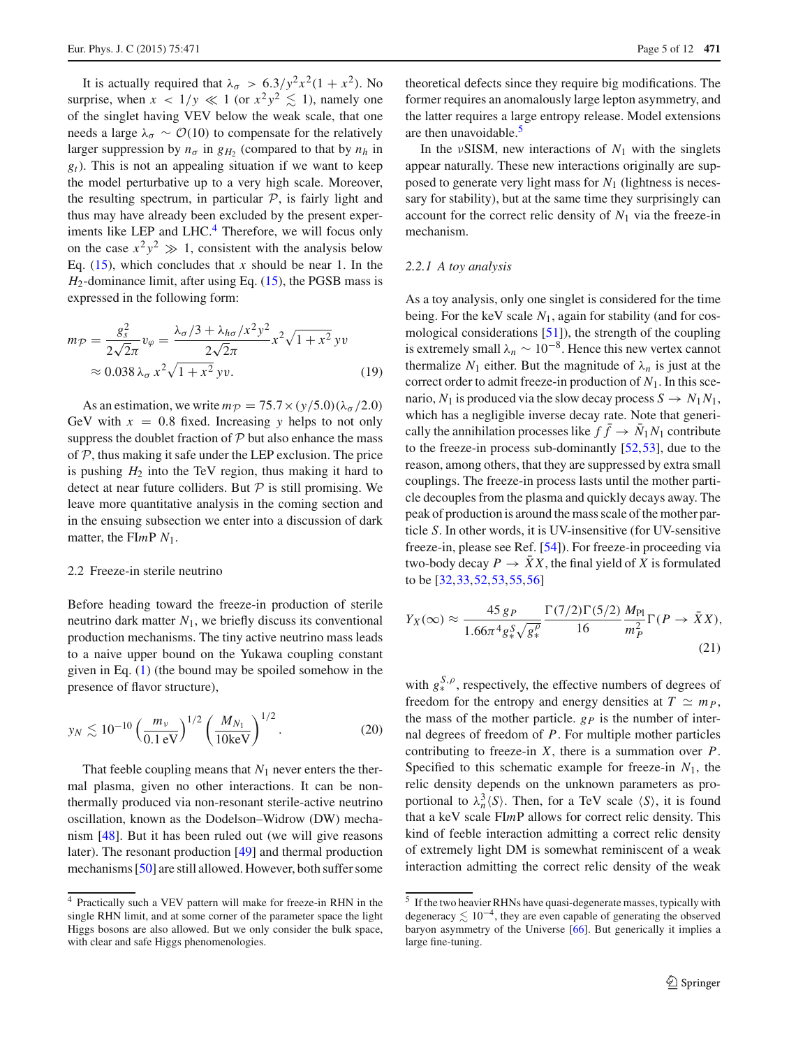It is actually required that  $\lambda_{\sigma} > 6.3/y^2 x^2 (1 + x^2)$ . No surprise, when  $x < 1/y \ll 1$  (or  $x^2y^2 \lesssim 1$ ), namely one of the singlet having VEV below the weak scale, that one needs a large  $\lambda_{\sigma} \sim \mathcal{O}(10)$  to compensate for the relatively larger suppression by  $n_{\sigma}$  in  $g_{H_2}$  (compared to that by  $n_h$  in *gt*). This is not an appealing situation if we want to keep the model perturbative up to a very high scale. Moreover, the resulting spectrum, in particular  $P$ , is fairly light and thus may have already been excluded by the present exper-iments like LEP and LHC.<sup>[4](#page-4-0)</sup> Therefore, we will focus only on the case  $x^2y^2 \gg 1$ , consistent with the analysis below Eq.  $(15)$ , which concludes that *x* should be near 1. In the *H*2-dominance limit, after using Eq. [\(15\)](#page-3-0), the PGSB mass is expressed in the following form:

$$
m_{\mathcal{P}} = \frac{g_s^2}{2\sqrt{2\pi}} v_{\varphi} = \frac{\lambda_{\sigma}/3 + \lambda_{h\sigma}/x^2 y^2}{2\sqrt{2\pi}} x^2 \sqrt{1 + x^2} yv
$$
  
  $\approx 0.038 \lambda_{\sigma} x^2 \sqrt{1 + x^2} yv.$  (19)

As an estimation, we write  $m_p = 75.7 \times (y/5.0)(\lambda_\sigma/2.0)$ GeV with  $x = 0.8$  fixed. Increasing y helps to not only suppress the doublet fraction of *P* but also enhance the mass of *P*, thus making it safe under the LEP exclusion. The price is pushing  $H_2$  into the TeV region, thus making it hard to detect at near future colliders. But *P* is still promising. We leave more quantitative analysis in the coming section and in the ensuing subsection we enter into a discussion of dark matter, the FI*m*P *N*1.

#### 2.2 Freeze-in sterile neutrino

Before heading toward the freeze-in production of sterile neutrino dark matter  $N_1$ , we briefly discuss its conventional production mechanisms. The tiny active neutrino mass leads to a naive upper bound on the Yukawa coupling constant given in Eq. [\(1\)](#page-1-1) (the bound may be spoiled somehow in the presence of flavor structure),

$$
y_N \lesssim 10^{-10} \left(\frac{m_\nu}{0.1 \text{ eV}}\right)^{1/2} \left(\frac{M_{N_1}}{10 \text{ keV}}\right)^{1/2}.
$$
 (20)

That feeble coupling means that  $N_1$  never enters the thermal plasma, given no other interactions. It can be nonthermally produced via non-resonant sterile-active neutrino oscillation, known as the Dodelson–Widrow (DW) mechanism [\[48](#page-10-21)]. But it has been ruled out (we will give reasons later). The resonant production [\[49](#page-10-22)] and thermal production mechanisms [\[50](#page-10-23)] are still allowed. However, both suffer some

theoretical defects since they require big modifications. The former requires an anomalously large lepton asymmetry, and the latter requires a large entropy release. Model extensions are then unavoidable. $\frac{5}{5}$  $\frac{5}{5}$  $\frac{5}{5}$ 

In the  $\nu$ SISM, new interactions of  $N_1$  with the singlets appear naturally. These new interactions originally are supposed to generate very light mass for  $N_1$  (lightness is necessary for stability), but at the same time they surprisingly can account for the correct relic density of  $N_1$  via the freeze-in mechanism.

## *2.2.1 A toy analysis*

As a toy analysis, only one singlet is considered for the time being. For the keV scale *N*1, again for stability (and for cosmological considerations [\[51](#page-10-24)]), the strength of the coupling is extremely small  $\lambda_n \sim 10^{-8}$ . Hence this new vertex cannot thermalize  $N_1$  either. But the magnitude of  $\lambda_n$  is just at the correct order to admit freeze-in production of  $N_1$ . In this scenario,  $N_1$  is produced via the slow decay process  $S \to N_1 N_1$ , which has a negligible inverse decay rate. Note that generically the annihilation processes like  $f \rightarrow N_1 N_1$  contribute to the freeze-in process sub-dominantly [\[52](#page-10-25)[,53](#page-10-26)], due to the reason, among others, that they are suppressed by extra small couplings. The freeze-in process lasts until the mother particle decouples from the plasma and quickly decays away. The peak of production is around the mass scale of the mother particle *S*. In other words, it is UV-insensitive (for UV-sensitive freeze-in, please see Ref. [\[54\]](#page-10-27)). For freeze-in proceeding via two-body decay  $P \to \overline{X}X$ , the final yield of X is formulated to be [\[32,](#page-10-6)[33](#page-10-7)[,52](#page-10-25)[,53](#page-10-26),[55](#page-11-0),[56\]](#page-11-1)

<span id="page-4-2"></span>
$$
Y_X(\infty) \approx \frac{45 \, g_P}{1.66\pi^4 g_*^S \sqrt{g_*^{\rho}}} \frac{\Gamma(7/2)\Gamma(5/2)}{16} \frac{M_{\rm Pl}}{m_P^2} \Gamma(P \to \bar{X}X),\tag{21}
$$

with  $g_*^{S,\rho}$ , respectively, the effective numbers of degrees of freedom for the entropy and energy densities at  $T \simeq m_P$ , the mass of the mother particle.  $g_p$  is the number of internal degrees of freedom of *P*. For multiple mother particles contributing to freeze-in *X*, there is a summation over *P*. Specified to this schematic example for freeze-in *N*1, the relic density depends on the unknown parameters as proportional to  $\lambda_n^3 \langle S \rangle$ . Then, for a TeV scale  $\langle S \rangle$ , it is found that a keV scale FI*m*P allows for correct relic density. This kind of feeble interaction admitting a correct relic density of extremely light DM is somewhat reminiscent of a weak interaction admitting the correct relic density of the weak

<span id="page-4-0"></span><sup>4</sup> Practically such a VEV pattern will make for freeze-in RHN in the single RHN limit, and at some corner of the parameter space the light Higgs bosons are also allowed. But we only consider the bulk space, with clear and safe Higgs phenomenologies.

<span id="page-4-1"></span> $\frac{5}{10}$  If the two heavier RHNs have quasi-degenerate masses, typically with degeneracy  $\lesssim 10^{-4}$ , they are even capable of generating the observed baryon asymmetry of the Universe [\[66](#page-11-2)]. But generically it implies a large fine-tuning.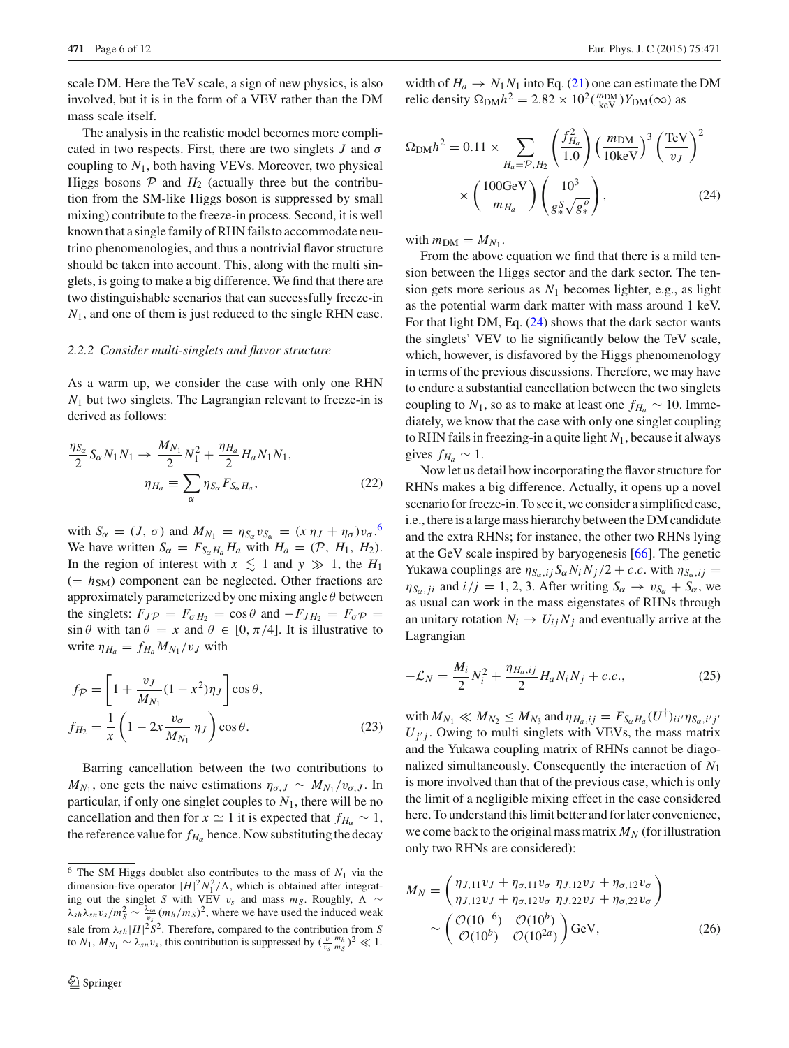scale DM. Here the TeV scale, a sign of new physics, is also involved, but it is in the form of a VEV rather than the DM mass scale itself.

The analysis in the realistic model becomes more complicated in two respects. First, there are two singlets  $J$  and  $\sigma$ coupling to *N*1, both having VEVs. Moreover, two physical Higgs bosons  $P$  and  $H_2$  (actually three but the contribution from the SM-like Higgs boson is suppressed by small mixing) contribute to the freeze-in process. Second, it is well known that a single family of RHN fails to accommodate neutrino phenomenologies, and thus a nontrivial flavor structure should be taken into account. This, along with the multi singlets, is going to make a big difference. We find that there are two distinguishable scenarios that can successfully freeze-in *N*1, and one of them is just reduced to the single RHN case.

#### *2.2.2 Consider multi-singlets and flavor structure*

As a warm up, we consider the case with only one RHN *N*<sup>1</sup> but two singlets. The Lagrangian relevant to freeze-in is derived as follows:

$$
\frac{\eta_{S_{\alpha}}}{2} S_{\alpha} N_{1} N_{1} \to \frac{M_{N_{1}}}{2} N_{1}^{2} + \frac{\eta_{H_{a}}}{2} H_{a} N_{1} N_{1},
$$

$$
\eta_{H_{a}} \equiv \sum_{\alpha} \eta_{S_{\alpha}} F_{S_{\alpha} H_{a}}, \qquad (22)
$$

with  $S_{\alpha} = (J, \sigma)$  and  $M_{N_1} = \eta_{S_{\alpha}} v_{S_{\alpha}} = (x \eta_J + \eta_{\sigma}) v_{\sigma}$ .<sup>[6](#page-5-0)</sup> We have written  $S_{\alpha} = F_{S_{\alpha}H_a}H_a$  with  $H_a = (\mathcal{P}, H_1, H_2)$ . In the region of interest with  $x \leq 1$  and  $y \gg 1$ , the  $H_1$  $(= h<sub>SM</sub>)$  component can be neglected. Other fractions are approximately parameterized by one mixing angle  $\theta$  between the singlets:  $F_{J\mathcal{P}} = F_{\sigma H_2} = \cos \theta$  and  $-F_{JH_2} = F_{\sigma \mathcal{P}} =$  $\sin \theta$  with  $\tan \theta = x$  and  $\theta \in [0, \pi/4]$ . It is illustrative to write  $\eta_{H_a} = f_{H_a} M_{N_1} / v_J$  with

$$
f_{\mathcal{P}} = \left[1 + \frac{v_J}{M_{N_1}}(1 - x^2)\eta_J\right] \cos \theta,
$$
  

$$
f_{H_2} = \frac{1}{x} \left(1 - 2x \frac{v_\sigma}{M_{N_1}} \eta_J\right) \cos \theta.
$$
 (23)

Barring cancellation between the two contributions to  $M_{N_1}$ , one gets the naive estimations  $\eta_{\sigma,J} \sim M_{N_1}/v_{\sigma,J}$ . In particular, if only one singlet couples to  $N_1$ , there will be no cancellation and then for  $x \approx 1$  it is expected that  $f_{H_{\alpha}} \sim 1$ , the reference value for  $f_{H_{\alpha}}$  hence. Now substituting the decay

width of  $H_a \rightarrow N_1N_1$  into Eq. [\(21\)](#page-4-2) one can estimate the DM relic density  $\Omega_{\text{DM}} h^2 = 2.82 \times 10^2 \left( \frac{m_{\text{DM}}}{\text{keV}} \right) Y_{\text{DM}}(\infty)$  as

<span id="page-5-1"></span>
$$
\Omega_{\rm DM} h^2 = 0.11 \times \sum_{H_a = \mathcal{P}, H_2} \left( \frac{f_{H_a}^2}{1.0} \right) \left( \frac{m_{\rm DM}}{10 \,\text{keV}} \right)^3 \left( \frac{\text{TeV}}{v_J} \right)^2
$$

$$
\times \left( \frac{100 \,\text{GeV}}{m_{H_a}} \right) \left( \frac{10^3}{g_*^S \sqrt{g_*^{\rho}}} \right), \tag{24}
$$

with  $m_{\text{DM}} = M_{N_1}$ .

From the above equation we find that there is a mild tension between the Higgs sector and the dark sector. The tension gets more serious as *N*<sup>1</sup> becomes lighter, e.g., as light as the potential warm dark matter with mass around 1 keV. For that light DM, Eq. [\(24\)](#page-5-1) shows that the dark sector wants the singlets' VEV to lie significantly below the TeV scale, which, however, is disfavored by the Higgs phenomenology in terms of the previous discussions. Therefore, we may have to endure a substantial cancellation between the two singlets coupling to  $N_1$ , so as to make at least one  $f_{H_a} \sim 10$ . Immediately, we know that the case with only one singlet coupling to RHN fails in freezing-in a quite light *N*1, because it always gives  $f_{H_a} \sim 1$ .

Now let us detail how incorporating the flavor structure for RHNs makes a big difference. Actually, it opens up a novel scenario for freeze-in. To see it, we consider a simplified case, i.e., there is a large mass hierarchy between the DM candidate and the extra RHNs; for instance, the other two RHNs lying at the GeV scale inspired by baryogenesis [\[66](#page-11-2)]. The genetic Yukawa couplings are  $\eta_{S_\alpha,ij} S_\alpha N_i N_j/2 + c.c.$  with  $\eta_{S_\alpha,ij} =$  $\eta_{S_\alpha,ji}$  and  $i/j = 1, 2, 3$ . After writing  $S_\alpha \rightarrow v_{S_\alpha} + S_\alpha$ , we as usual can work in the mass eigenstates of RHNs through an unitary rotation  $N_i \rightarrow U_i N_j$  and eventually arrive at the Lagrangian

$$
-\mathcal{L}_N = \frac{M_i}{2} N_i^2 + \frac{\eta_{H_a,ij}}{2} H_a N_i N_j + c.c.,
$$
 (25)

with  $M_{N_1} \ll M_{N_2} \le M_{N_3}$  and  $\eta_{H_a,ij} = F_{S_\alpha H_a}(U^{\dagger})_{ii'}\eta_{S_\alpha,i'j'}$  $U_j$ <sup>*j*</sup> . Owing to multi singlets with VEVs, the mass matrix and the Yukawa coupling matrix of RHNs cannot be diagonalized simultaneously. Consequently the interaction of *N*<sup>1</sup> is more involved than that of the previous case, which is only the limit of a negligible mixing effect in the case considered here. To understand this limit better and for later convenience, we come back to the original mass matrix  $M_N$  (for illustration only two RHNs are considered):

$$
M_N = \begin{pmatrix} \eta_{J,11} v_J + \eta_{\sigma,11} v_{\sigma} & \eta_{J,12} v_J + \eta_{\sigma,12} v_{\sigma} \\ \eta_{J,12} v_J + \eta_{\sigma,12} v_{\sigma} & \eta_{J,22} v_J + \eta_{\sigma,22} v_{\sigma} \end{pmatrix}
$$
  
\$\sim \begin{pmatrix} \mathcal{O}(10^{-6}) & \mathcal{O}(10^b) \\ \mathcal{O}(10^b) & \mathcal{O}(10^{2a}) \end{pmatrix} \text{GeV}, \qquad (26)\$

<span id="page-5-0"></span> $6$  The SM Higgs doublet also contributes to the mass of  $N_1$  via the dimension-five operator  $|H|^2 N_1^2/\Lambda$ , which is obtained after integrating out the singlet *S* with VEV  $v_s$  and mass  $m_S$ . Roughly,  $\Lambda \sim$  $\lambda_{sh} \lambda_{sn} v_s / m_S^2 \sim \frac{\lambda_{sn}}{v_s} (m_h / m_S)^2$ , where we have used the induced weak sale from  $\lambda_{sh} |H|^2 S^2$ . Therefore, compared to the contribution from *S* to *N*<sub>1</sub>, *M*<sub>*N*<sub>1</sub></sub> ~  $\lambda_{sn} v_s$ , this contribution is suppressed by  $(\frac{v}{v_s} \frac{m_h}{m_s})^2 \ll 1$ .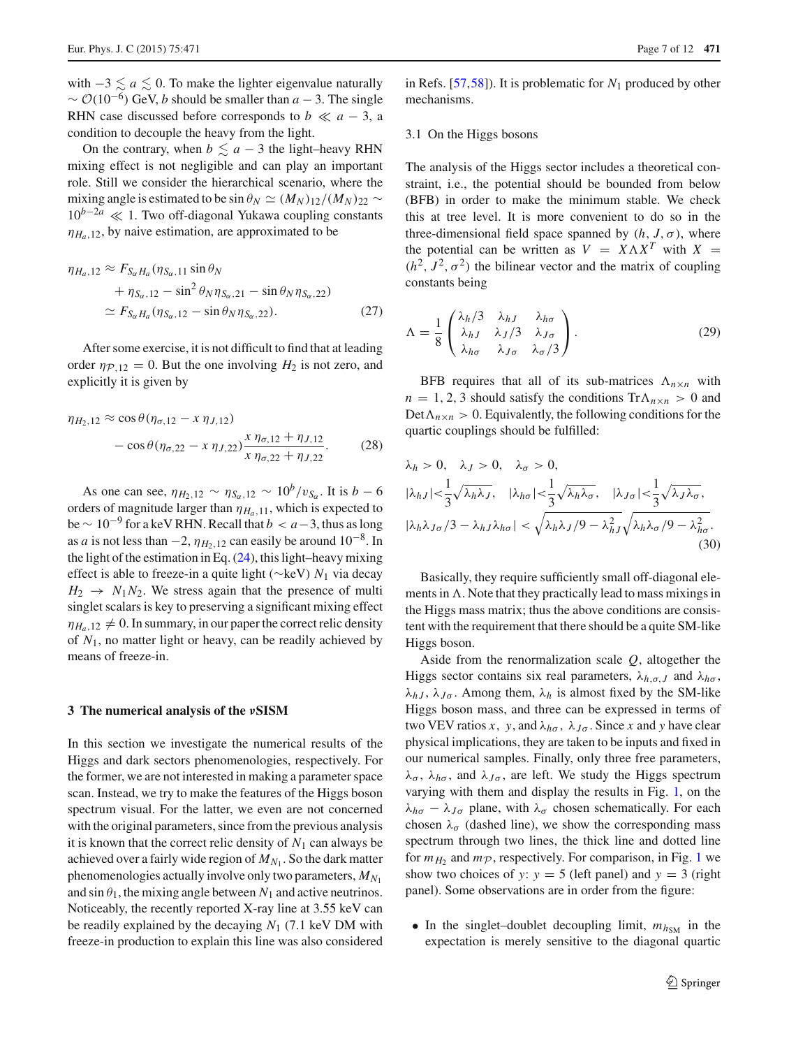with  $-3 \le a \le 0$ . To make the lighter eigenvalue naturally  $\sim$   $\mathcal{O}(10^{-6})$  GeV, *b* should be smaller than *a* − 3. The single RHN case discussed before corresponds to  $b \ll a - 3$ , a condition to decouple the heavy from the light.

On the contrary, when  $b \le a - 3$  the light–heavy RHN mixing effect is not negligible and can play an important role. Still we consider the hierarchical scenario, where the mixing angle is estimated to be sin  $\theta_N \simeq (M_N)_{12}/(M_N)_{22} \sim$ <sup>10</sup>*b*−2*<sup>a</sup>* 1. Two off-diagonal Yukawa coupling constants  $\eta_{H_0,12}$ , by naive estimation, are approximated to be

$$
\eta_{H_a,12} \approx F_{S_{\alpha}H_a}(\eta_{S_{\alpha},11} \sin \theta_N \n+ \eta_{S_{\alpha},12} - \sin^2 \theta_N \eta_{S_{\alpha},21} - \sin \theta_N \eta_{S_{\alpha},22}) \n\approx F_{S_{\alpha}H_a}(\eta_{S_{\alpha},12} - \sin \theta_N \eta_{S_{\alpha},22}).
$$
\n(27)

After some exercise, it is not difficult to find that at leading order  $\eta_{P,12} = 0$ . But the one involving  $H_2$  is not zero, and explicitly it is given by

$$
\eta_{H_2,12} \approx \cos \theta (\eta_{\sigma,12} - x \eta_{J,12})
$$
  
- 
$$
\cos \theta (\eta_{\sigma,22} - x \eta_{J,22}) \frac{x \eta_{\sigma,12} + \eta_{J,12}}{x \eta_{\sigma,22} + \eta_{J,22}}.
$$
 (28)

As one can see,  $\eta_{H_2,12} \sim \eta_{S_\alpha,12} \sim 10^b/v_{S_\alpha}$ . It is *b* − 6 orders of magnitude larger than  $\eta_{H_a,11}$ , which is expected to  $be \sim 10^{-9}$  for a keV RHN. Recall that  $b < a-3$ , thus as long as *a* is not less than  $-2$ ,  $\eta_{H_2,12}$  can easily be around  $10^{-8}$ . In the light of the estimation in Eq.  $(24)$ , this light–heavy mixing effect is able to freeze-in a quite light (∼keV) *N*<sup>1</sup> via decay  $H_2 \rightarrow N_1 N_2$ . We stress again that the presence of multi singlet scalars is key to preserving a significant mixing effect  $\eta_{H_0,12} \neq 0$ . In summary, in our paper the correct relic density of *N*1, no matter light or heavy, can be readily achieved by means of freeze-in.

#### <span id="page-6-0"></span>**3 The numerical analysis of the** *ν***SISM**

In this section we investigate the numerical results of the Higgs and dark sectors phenomenologies, respectively. For the former, we are not interested in making a parameter space scan. Instead, we try to make the features of the Higgs boson spectrum visual. For the latter, we even are not concerned with the original parameters, since from the previous analysis it is known that the correct relic density of  $N_1$  can always be achieved over a fairly wide region of  $M_{N_1}$ . So the dark matter phenomenologies actually involve only two parameters,  $M_{N_1}$ and  $\sin \theta_1$ , the mixing angle between  $N_1$  and active neutrinos. Noticeably, the recently reported X-ray line at 3.55 keV can be readily explained by the decaying *N*<sup>1</sup> (7.1 keV DM with freeze-in production to explain this line was also considered in Refs. [\[57](#page-11-3),[58\]](#page-11-4)). It is problematic for *N*<sup>1</sup> produced by other mechanisms.

## 3.1 On the Higgs bosons

The analysis of the Higgs sector includes a theoretical constraint, i.e., the potential should be bounded from below (BFB) in order to make the minimum stable. We check this at tree level. It is more convenient to do so in the three-dimensional field space spanned by  $(h, J, \sigma)$ , where the potential can be written as  $V = X \Lambda X^T$  with  $X =$  $(h^2, J^2, \sigma^2)$  the bilinear vector and the matrix of coupling constants being

$$
\Lambda = \frac{1}{8} \begin{pmatrix} \lambda_h/3 & \lambda_{hJ} & \lambda_{h\sigma} \\ \lambda_{hJ} & \lambda_{J}/3 & \lambda_{J\sigma} \\ \lambda_{h\sigma} & \lambda_{J\sigma} & \lambda_{\sigma}/3 \end{pmatrix} . \tag{29}
$$

BFB requires that all of its sub-matrices  $\Lambda_{n \times n}$  with  $n = 1, 2, 3$  should satisfy the conditions  $Tr \Lambda_{n \times n} > 0$  and  $Det\Lambda_{n\times n} > 0$ . Equivalently, the following conditions for the quartic couplings should be fulfilled:

$$
\lambda_h > 0, \quad \lambda_J > 0, \quad \lambda_\sigma > 0,
$$
  

$$
|\lambda_{hJ}| < \frac{1}{3} \sqrt{\lambda_h \lambda_J}, \quad |\lambda_{h\sigma}| < \frac{1}{3} \sqrt{\lambda_h \lambda_\sigma}, \quad |\lambda_{J\sigma}| < \frac{1}{3} \sqrt{\lambda_J \lambda_\sigma},
$$
  

$$
|\lambda_h \lambda_{J\sigma}/3 - \lambda_h J \lambda_{h\sigma}| < \sqrt{\lambda_h \lambda_J/9 - \lambda_{hJ}^2} \sqrt{\lambda_h \lambda_\sigma/9 - \lambda_{h\sigma}^2}.
$$
(30)

<span id="page-6-1"></span>Basically, they require sufficiently small off-diagonal elements in  $\Lambda$ . Note that they practically lead to mass mixings in the Higgs mass matrix; thus the above conditions are consistent with the requirement that there should be a quite SM-like Higgs boson.

Aside from the renormalization scale *Q*, altogether the Higgs sector contains six real parameters,  $\lambda_{h,\sigma,J}$  and  $\lambda_{h\sigma}$ ,  $\lambda_{hJ}$ ,  $\lambda_{J\sigma}$ . Among them,  $\lambda_h$  is almost fixed by the SM-like Higgs boson mass, and three can be expressed in terms of two VEV ratios *x*, *y*, and  $\lambda_{h\sigma}$ ,  $\lambda_{J\sigma}$ . Since *x* and *y* have clear physical implications, they are taken to be inputs and fixed in our numerical samples. Finally, only three free parameters,  $\lambda_{\sigma}$ ,  $\lambda_{h\sigma}$ , and  $\lambda_{J\sigma}$ , are left. We study the Higgs spectrum varying with them and display the results in Fig. [1,](#page-7-0) on the  $\lambda_{h\sigma} - \lambda_{J\sigma}$  plane, with  $\lambda_{\sigma}$  chosen schematically. For each chosen  $\lambda_{\sigma}$  (dashed line), we show the corresponding mass spectrum through two lines, the thick line and dotted line for  $m_H$ <sub>2</sub> and  $m_P$ , respectively. For comparison, in Fig. [1](#page-7-0) we show two choices of *y*:  $y = 5$  (left panel) and  $y = 3$  (right panel). Some observations are in order from the figure:

• In the singlet-doublet decoupling limit,  $m_{h<sub>SM</sub>}$  in the expectation is merely sensitive to the diagonal quartic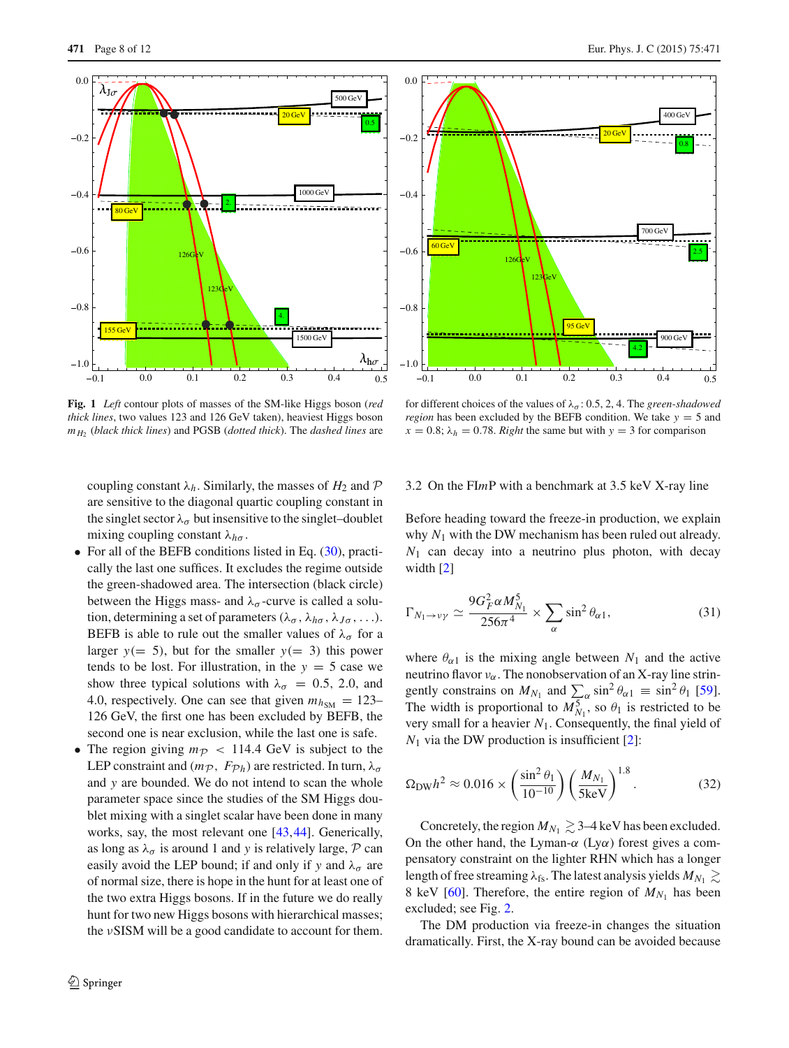

<span id="page-7-0"></span>**Fig. 1** *Left* contour plots of masses of the SM-like Higgs boson (*red thick lines*, two values 123 and 126 GeV taken), heaviest Higgs boson *mH*<sup>2</sup> (*black thick lines*) and PGSB (*dotted thick*). The *dashed lines* are

coupling constant  $\lambda_h$ . Similarly, the masses of  $H_2$  and  $\mathcal P$ are sensitive to the diagonal quartic coupling constant in the singlet sector  $\lambda_{\sigma}$  but insensitive to the singlet–doublet mixing coupling constant λ*h*<sup>σ</sup> .

- For all of the BEFB conditions listed in Eq. [\(30\)](#page-6-1), practically the last one suffices. It excludes the regime outside the green-shadowed area. The intersection (black circle) between the Higgs mass- and  $\lambda_{\sigma}$ -curve is called a solution, determining a set of parameters ( $\lambda_{\sigma}$ ,  $\lambda_{h\sigma}$ ,  $\lambda_{J\sigma}$ , ...). BEFB is able to rule out the smaller values of  $\lambda_{\sigma}$  for a larger  $y (= 5)$ , but for the smaller  $y (= 3)$  this power tends to be lost. For illustration, in the  $y = 5$  case we show three typical solutions with  $\lambda_{\sigma} = 0.5, 2.0,$  and 4.0, respectively. One can see that given  $m_{h<sub>SM</sub>} = 123-$ 126 GeV, the first one has been excluded by BEFB, the second one is near exclusion, while the last one is safe.
- The region giving  $m_p$  < 114.4 GeV is subject to the LEP constraint and  $(m_{\mathcal{P}}, F_{\mathcal{P}_h})$  are restricted. In turn,  $\lambda_{\sigma}$ and *y* are bounded. We do not intend to scan the whole parameter space since the studies of the SM Higgs doublet mixing with a singlet scalar have been done in many works, say, the most relevant one [\[43](#page-10-14),[44\]](#page-10-15). Generically, as long as  $\lambda_{\sigma}$  is around 1 and *y* is relatively large, *P* can easily avoid the LEP bound; if and only if *y* and  $\lambda_{\sigma}$  are of normal size, there is hope in the hunt for at least one of the two extra Higgs bosons. If in the future we do really hunt for two new Higgs bosons with hierarchical masses; the νSISM will be a good candidate to account for them.



 $95 GeV$ 

for different choices of the values of  $\lambda_{\sigma}$ : 0.5, 2, 4. The *green-shadowed region* has been excluded by the BEFB condition. We take *y* = 5 and  $x = 0.8$ ;  $\lambda_h = 0.78$ . *Right* the same but with  $y = 3$  for comparison

0.1 0.0 0.1 0.2 0.3 0.4 0.5

## 3.2 On the FI*m*P with a benchmark at 3.5 keV X-ray line

Before heading toward the freeze-in production, we explain why *N*<sup>1</sup> with the DW mechanism has been ruled out already.  $N_1$  can decay into a neutrino plus photon, with decay width [\[2\]](#page-10-1)

$$
\Gamma_{N_1 \to \nu\gamma} \simeq \frac{9G_F^2 \alpha M_{N_1}^5}{256\pi^4} \times \sum_{\alpha} \sin^2 \theta_{\alpha 1},\tag{31}
$$

where  $\theta_{\alpha 1}$  is the mixing angle between  $N_1$  and the active neutrino flavor  $v_\alpha$ . The nonobservation of an X-ray line stringently constrains on  $M_{N_1}$  and  $\sum_{\alpha} \sin^2 \theta_{\alpha 1} \equiv \sin^2 \theta_1$  [\[59](#page-11-5)]. The width is proportional to  $M_{N_1}^5$ , so  $\theta_1$  is restricted to be very small for a heavier *N*1. Consequently, the final yield of  $N_1$  via the DW production is insufficient [\[2\]](#page-10-1):

$$
\Omega_{\rm DW} h^2 \approx 0.016 \times \left(\frac{\sin^2 \theta_1}{10^{-10}}\right) \left(\frac{M_{N_1}}{5 \text{keV}}\right)^{1.8}.\tag{32}
$$

Concretely, the region  $M_{N_1} \gtrsim 3-4$  keV has been excluded. On the other hand, the Lyman- $\alpha$  (Ly $\alpha$ ) forest gives a compensatory constraint on the lighter RHN which has a longer length of free streaming  $\lambda_{fs}$ . The latest analysis yields  $M_{N_1} \gtrsim$ 8 keV [\[60](#page-11-6)]. Therefore, the entire region of  $M_{N_1}$  has been excluded; see Fig. [2.](#page-8-0)

The DM production via freeze-in changes the situation dramatically. First, the X-ray bound can be avoided because

900 GeV

4.2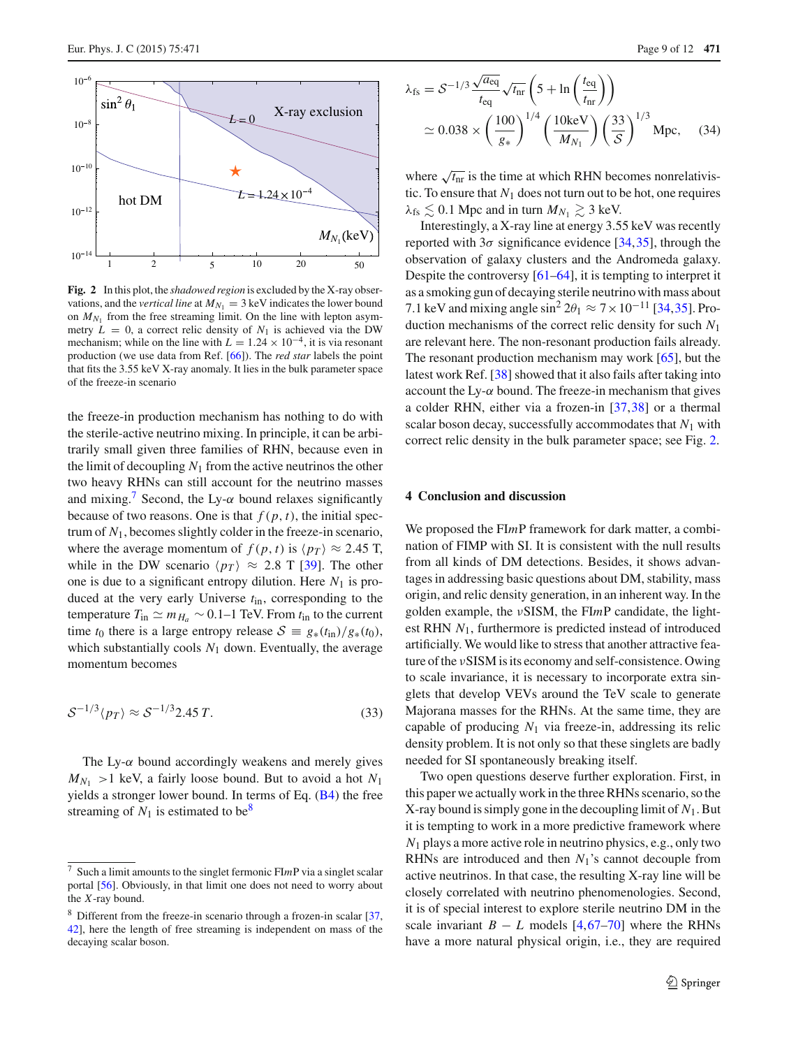

<span id="page-8-0"></span>**Fig. 2** In this plot, the *shadowed region* is excluded by the X-ray observations, and the *vertical line* at  $M_{N_1} = 3$  keV indicates the lower bound on  $M_{N_1}$  from the free streaming limit. On the line with lepton asymmetry  $L = 0$ , a correct relic density of  $N_1$  is achieved via the DW mechanism; while on the line with  $L = 1.24 \times 10^{-4}$ , it is via resonant production (we use data from Ref. [\[66](#page-11-2)]). The *red star* labels the point that fits the 3.55 keV X-ray anomaly. It lies in the bulk parameter space of the freeze-in scenario

the freeze-in production mechanism has nothing to do with the sterile-active neutrino mixing. In principle, it can be arbitrarily small given three families of RHN, because even in the limit of decoupling  $N_1$  from the active neutrinos the other two heavy RHNs can still account for the neutrino masses and mixing.<sup>[7](#page-8-1)</sup> Second, the Ly- $\alpha$  bound relaxes significantly because of two reasons. One is that  $f(p, t)$ , the initial spectrum of *N*1, becomes slightly colder in the freeze-in scenario, where the average momentum of  $f(p, t)$  is  $\langle p \rangle \approx 2.45$  T, while in the DW scenario  $\langle p_T \rangle \approx 2.8$  T [\[39\]](#page-10-12). The other one is due to a significant entropy dilution. Here  $N_1$  is produced at the very early Universe *t*in, corresponding to the temperature  $T_{\text{in}} \simeq m_{H_a}$  ∼ 0.1–1 TeV. From  $t_{\text{in}}$  to the current time *t*<sub>0</sub> there is a large entropy release  $S = g_*(t_{\text{in}})/g_*(t_0)$ , which substantially cools  $N_1$  down. Eventually, the average momentum becomes

$$
S^{-1/3}\langle p_T \rangle \approx S^{-1/3} 2.45 T. \tag{33}
$$

The Ly- $\alpha$  bound accordingly weakens and merely gives  $M_{N_1}$  > 1 keV, a fairly loose bound. But to avoid a hot  $N_1$ yields a stronger lower bound. In terms of Eq.  $(B4)$  the free streaming of  $N_1$  is estimated to be<sup>[8](#page-8-2)</sup>

$$
\lambda_{\text{fs}} = S^{-1/3} \frac{\sqrt{a_{\text{eq}}}}{t_{\text{eq}}} \sqrt{t_{\text{nr}}} \left( 5 + \ln \left( \frac{t_{\text{eq}}}{t_{\text{nr}}} \right) \right)
$$
  

$$
\approx 0.038 \times \left( \frac{100}{g_*} \right)^{1/4} \left( \frac{10 \text{keV}}{M_{N_1}} \right) \left( \frac{33}{S} \right)^{1/3} \text{Mpc}, \quad (34)
$$

where  $\sqrt{t_{\text{nr}}}$  is the time at which RHN becomes nonrelativistic. To ensure that  $N_1$  does not turn out to be hot, one requires  $\lambda_{\text{fs}} \lesssim 0.1$  Mpc and in turn  $M_{N_1} \gtrsim 3$  keV.

Interestingly, a X-ray line at energy 3.55 keV was recently reported with  $3\sigma$  significance evidence [\[34](#page-10-8)[,35](#page-10-9)], through the observation of galaxy clusters and the Andromeda galaxy. Despite the controversy [\[61](#page-11-7)[–64](#page-11-8)], it is tempting to interpret it as a smoking gun of decaying sterile neutrino with mass about 7.1 keV and mixing angle  $\sin^2 2\theta_1 \approx 7 \times 10^{-11}$  [\[34](#page-10-8),[35\]](#page-10-9). Production mechanisms of the correct relic density for such *N*<sup>1</sup> are relevant here. The non-resonant production fails already. The resonant production mechanism may work [\[65\]](#page-11-9), but the latest work Ref. [\[38](#page-10-11)] showed that it also fails after taking into account the Ly- $\alpha$  bound. The freeze-in mechanism that gives a colder RHN, either via a frozen-in [\[37,](#page-10-28)[38\]](#page-10-11) or a thermal scalar boson decay, successfully accommodates that *N*<sup>1</sup> with correct relic density in the bulk parameter space; see Fig. [2.](#page-8-0)

## **4 Conclusion and discussion**

We proposed the FI*m*P framework for dark matter, a combination of FIMP with SI. It is consistent with the null results from all kinds of DM detections. Besides, it shows advantages in addressing basic questions about DM, stability, mass origin, and relic density generation, in an inherent way. In the golden example, the νSISM, the FI*m*P candidate, the lightest RHN *N*1, furthermore is predicted instead of introduced artificially. We would like to stress that another attractive feature of the νSISM is its economy and self-consistence. Owing to scale invariance, it is necessary to incorporate extra singlets that develop VEVs around the TeV scale to generate Majorana masses for the RHNs. At the same time, they are capable of producing  $N_1$  via freeze-in, addressing its relic density problem. It is not only so that these singlets are badly needed for SI spontaneously breaking itself.

Two open questions deserve further exploration. First, in this paper we actually work in the three RHNs scenario, so the X-ray bound is simply gone in the decoupling limit of  $N_1$ . But it is tempting to work in a more predictive framework where *N*<sup>1</sup> plays a more active role in neutrino physics, e.g., only two RHNs are introduced and then *N*1's cannot decouple from active neutrinos. In that case, the resulting X-ray line will be closely correlated with neutrino phenomenologies. Second, it is of special interest to explore sterile neutrino DM in the scale invariant  $B - L$  models  $[4, 67-70]$  $[4, 67-70]$  $[4, 67-70]$  $[4, 67-70]$  where the RHNs have a more natural physical origin, i.e., they are required

<span id="page-8-1"></span><sup>7</sup> Such a limit amounts to the singlet fermonic FI*m*P via a singlet scalar portal [\[56\]](#page-11-1). Obviously, in that limit one does not need to worry about the *X*-ray bound.

<span id="page-8-2"></span><sup>8</sup> Different from the freeze-in scenario through a frozen-in scalar [\[37](#page-10-28), [42](#page-10-13)], here the length of free streaming is independent on mass of the decaying scalar boson.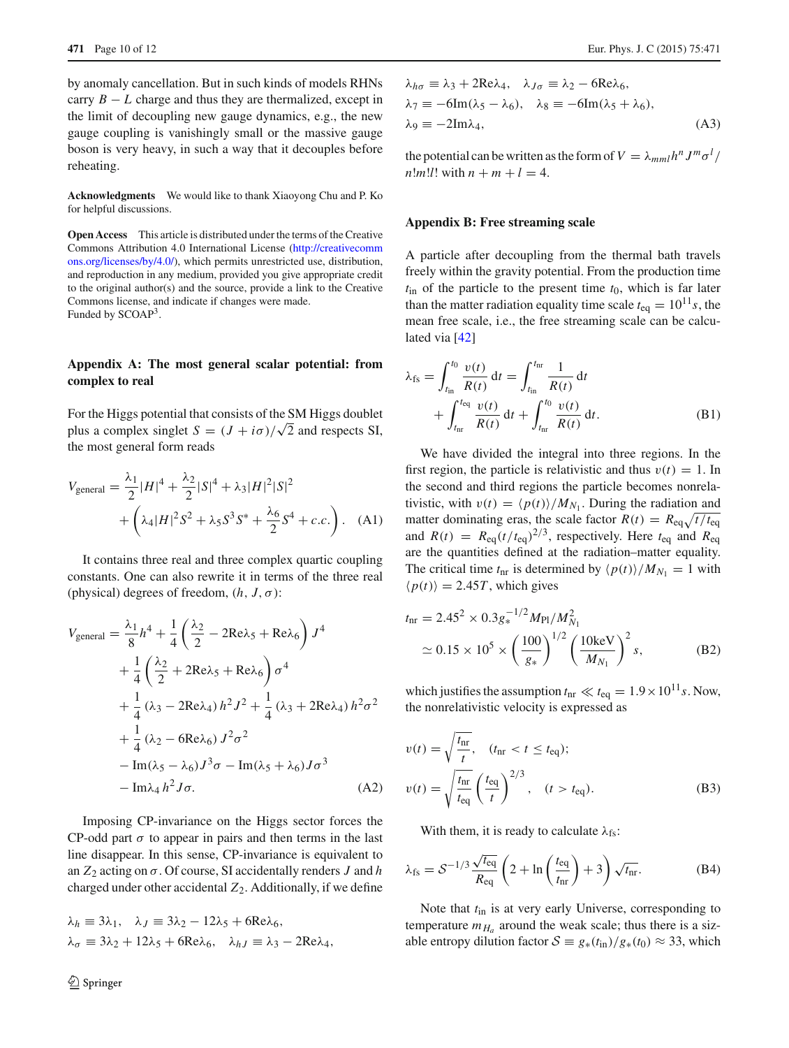by anomaly cancellation. But in such kinds of models RHNs carry  $B - L$  charge and thus they are thermalized, except in the limit of decoupling new gauge dynamics, e.g., the new gauge coupling is vanishingly small or the massive gauge boson is very heavy, in such a way that it decouples before reheating.

**Acknowledgments** We would like to thank Xiaoyong Chu and P. Ko for helpful discussions.

**Open Access** This article is distributed under the terms of the Creative Commons Attribution 4.0 International License [\(http://creativecomm](http://creativecommons.org/licenses/by/4.0/) [ons.org/licenses/by/4.0/\)](http://creativecommons.org/licenses/by/4.0/), which permits unrestricted use, distribution, and reproduction in any medium, provided you give appropriate credit to the original author(s) and the source, provide a link to the Creative Commons license, and indicate if changes were made. Funded by SCOAP3.

# **Appendix A: The most general scalar potential: from complex to real**

For the Higgs potential that consists of the SM Higgs doublet plus a complex singlet  $S = (J + i\sigma)/\sqrt{2}$  and respects SI, the most general form reads

$$
V_{\text{general}} = \frac{\lambda_1}{2} |H|^4 + \frac{\lambda_2}{2} |S|^4 + \lambda_3 |H|^2 |S|^2
$$
  
+  $\left(\lambda_4 |H|^2 S^2 + \lambda_5 S^3 S^* + \frac{\lambda_6}{2} S^4 + c.c.\right).$  (A1)

It contains three real and three complex quartic coupling constants. One can also rewrite it in terms of the three real (physical) degrees of freedom,  $(h, J, \sigma)$ :

$$
V_{\text{general}} = \frac{\lambda_1}{8} h^4 + \frac{1}{4} \left( \frac{\lambda_2}{2} - 2 \text{Re} \lambda_5 + \text{Re} \lambda_6 \right) J^4
$$
  
+ 
$$
\frac{1}{4} \left( \frac{\lambda_2}{2} + 2 \text{Re} \lambda_5 + \text{Re} \lambda_6 \right) \sigma^4
$$
  
+ 
$$
\frac{1}{4} (\lambda_3 - 2 \text{Re} \lambda_4) h^2 J^2 + \frac{1}{4} (\lambda_3 + 2 \text{Re} \lambda_4) h^2 \sigma^2
$$
  
+ 
$$
\frac{1}{4} (\lambda_2 - 6 \text{Re} \lambda_6) J^2 \sigma^2
$$
  
- 
$$
\text{Im}(\lambda_5 - \lambda_6) J^3 \sigma - \text{Im}(\lambda_5 + \lambda_6) J \sigma^3
$$
  
- 
$$
\text{Im} \lambda_4 h^2 J \sigma.
$$
 (A2)

Imposing CP-invariance on the Higgs sector forces the CP-odd part  $\sigma$  to appear in pairs and then terms in the last line disappear. In this sense, CP-invariance is equivalent to an *Z*<sup>2</sup> acting on σ. Of course, SI accidentally renders *J* and *h* charged under other accidental *Z*2. Additionally, if we define

$$
\lambda_h \equiv 3\lambda_1, \quad \lambda_J \equiv 3\lambda_2 - 12\lambda_5 + 6\text{Re}\lambda_6,
$$
  

$$
\lambda_\sigma \equiv 3\lambda_2 + 12\lambda_5 + 6\text{Re}\lambda_6, \quad \lambda_{hJ} \equiv \lambda_3 - 2\text{Re}\lambda_4,
$$

<span id="page-9-1"></span>
$$
\lambda_{h\sigma} \equiv \lambda_3 + 2\text{Re}\lambda_4, \quad \lambda_{J\sigma} \equiv \lambda_2 - 6\text{Re}\lambda_6, \n\lambda_7 \equiv -6\text{Im}(\lambda_5 - \lambda_6), \quad \lambda_8 \equiv -6\text{Im}(\lambda_5 + \lambda_6), \n\lambda_9 \equiv -2\text{Im}\lambda_4,
$$
\n(A3)

the potential can be written as the form of  $V = \lambda_{mml} h^n J^m \sigma^l /$ *n*! $m!l!$ ! with  $n + m + l = 4$ .

#### **Appendix B: Free streaming scale**

A particle after decoupling from the thermal bath travels freely within the gravity potential. From the production time  $t_{\text{in}}$  of the particle to the present time  $t_0$ , which is far later than the matter radiation equality time scale  $t_{eq} = 10^{11} s$ , the mean free scale, i.e., the free streaming scale can be calculated via [\[42\]](#page-10-13)

$$
\lambda_{\text{fs}} = \int_{t_{\text{in}}}^{t_0} \frac{v(t)}{R(t)} dt = \int_{t_{\text{in}}}^{t_{\text{nr}}} \frac{1}{R(t)} dt + \int_{t_{\text{nr}}}^{t_{\text{eq}}} \frac{v(t)}{R(t)} dt + \int_{t_{\text{nr}}}^{t_0} \frac{v(t)}{R(t)} dt.
$$
\n(B1)

We have divided the integral into three regions. In the first region, the particle is relativistic and thus  $v(t) = 1$ . In the second and third regions the particle becomes nonrelativistic, with  $v(t) = \langle p(t) \rangle / M_{N_1}$ . During the radiation and matter dominating eras, the scale factor  $R(t) = R_{eq}\sqrt{t/t_{eq}}$ and  $R(t) = R_{eq}(t/t_{eq})^{2/3}$ , respectively. Here  $t_{eq}$  and  $R_{eq}$ are the quantities defined at the radiation–matter equality. The critical time  $t_{nr}$  is determined by  $\langle p(t) \rangle / M_{N_1} = 1$  with  $\langle p(t) \rangle = 2.45T$ , which gives

$$
t_{\rm nr} = 2.45^2 \times 0.3 g_*^{-1/2} M_{\rm Pl} / M_{N_1}^2
$$
  
\n
$$
\simeq 0.15 \times 10^5 \times \left(\frac{100}{g_*}\right)^{1/2} \left(\frac{10 \text{keV}}{M_{N_1}}\right)^2 s,
$$
 (B2)

which justifies the assumption  $t_{nr} \ll t_{eq} = 1.9 \times 10^{11} s$ . Now, the nonrelativistic velocity is expressed as

<span id="page-9-0"></span>
$$
v(t) = \sqrt{\frac{t_{\text{nr}}}{t}}, \quad (t_{\text{nr}} < t \le t_{\text{eq}});
$$
  

$$
v(t) = \sqrt{\frac{t_{\text{nr}}}{t_{\text{eq}}}} \left(\frac{t_{\text{eq}}}{t}\right)^{2/3}, \quad (t > t_{\text{eq}}).
$$
 (B3)

<span id="page-9-2"></span>With them, it is ready to calculate  $\lambda_{fs}$ :

$$
\lambda_{\text{fs}} = S^{-1/3} \frac{\sqrt{t_{\text{eq}}}}{R_{\text{eq}}} \left( 2 + \ln \left( \frac{t_{\text{eq}}}{t_{\text{nr}}} \right) + 3 \right) \sqrt{t_{\text{nr}}}.\tag{B4}
$$

Note that *t*in is at very early Universe, corresponding to temperature  $m_{H_a}$  around the weak scale; thus there is a sizable entropy dilution factor  $S = g_*(t_{\text{in}})/g_*(t_0) \approx 33$ , which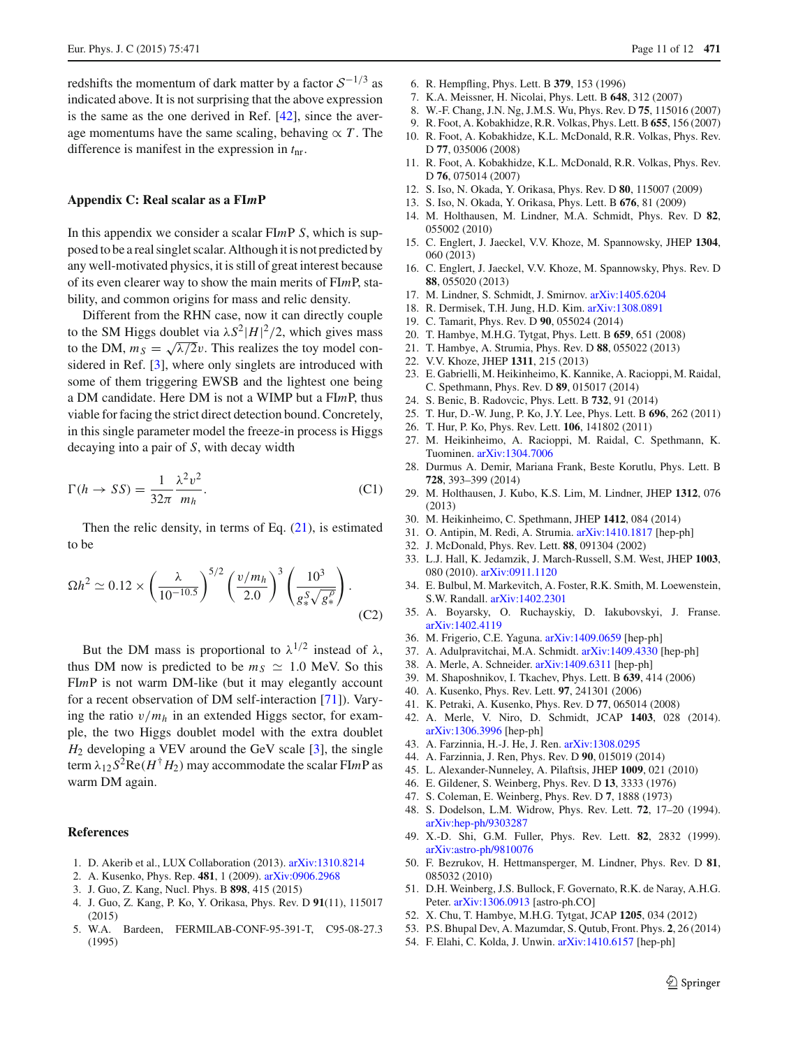redshifts the momentum of dark matter by a factor *<sup>S</sup>*−1/<sup>3</sup> as indicated above. It is not surprising that the above expression is the same as the one derived in Ref. [\[42](#page-10-13)], since the average momentums have the same scaling, behaving  $\propto T$ . The difference is manifest in the expression in *t*nr.

## **Appendix C: Real scalar as a FI***m***P**

In this appendix we consider a scalar FI*m*P *S*, which is supposed to be a real singlet scalar. Although it is not predicted by any well-motivated physics, it is still of great interest because of its even clearer way to show the main merits of FI*m*P, stability, and common origins for mass and relic density.

Different from the RHN case, now it can directly couple to the SM Higgs doublet via  $\lambda S^2 |H|^2/2$ , which gives mass to the DM,  $m_S = \sqrt{\lambda/2}v$ . This realizes the toy model con-sidered in Ref. [\[3](#page-10-2)], where only singlets are introduced with some of them triggering EWSB and the lightest one being a DM candidate. Here DM is not a WIMP but a FI*m*P, thus viable for facing the strict direct detection bound. Concretely, in this single parameter model the freeze-in process is Higgs decaying into a pair of *S*, with decay width

$$
\Gamma(h \to SS) = \frac{1}{32\pi} \frac{\lambda^2 v^2}{m_h}.
$$
\n(C1)

Then the relic density, in terms of Eq.  $(21)$ , is estimated to be

$$
\Omega h^2 \simeq 0.12 \times \left(\frac{\lambda}{10^{-10.5}}\right)^{5/2} \left(\frac{v/m_h}{2.0}\right)^3 \left(\frac{10^3}{g_*^S \sqrt{g_*^{\rho}}}\right).
$$
\n(C2)

But the DM mass is proportional to  $\lambda^{1/2}$  instead of  $\lambda$ , thus DM now is predicted to be  $m<sub>S</sub> \simeq 1.0$  MeV. So this FI*m*P is not warm DM-like (but it may elegantly account for a recent observation of DM self-interaction [\[71](#page-11-12)]). Varying the ratio  $v/m_h$  in an extended Higgs sector, for example, the two Higgs doublet model with the extra doublet  $H_2$  developing a VEV around the GeV scale [\[3\]](#page-10-2), the single term  $\lambda_{12} S^2 \text{Re}(H^{\dagger} H_2)$  may accommodate the scalar FI*mP* as warm DM again.

#### **References**

- <span id="page-10-0"></span>1. D. Akerib et al., LUX Collaboration (2013). [arXiv:1310.8214](http://arxiv.org/abs/1310.8214)
- <span id="page-10-1"></span>2. A. Kusenko, Phys. Rep. **481**, 1 (2009). [arXiv:0906.2968](http://arxiv.org/abs/0906.2968)
- <span id="page-10-2"></span>3. J. Guo, Z. Kang, Nucl. Phys. B **898**, 415 (2015)
- <span id="page-10-3"></span>4. J. Guo, Z. Kang, P. Ko, Y. Orikasa, Phys. Rev. D **91**(11), 115017 (2015)
- <span id="page-10-4"></span>5. W.A. Bardeen, FERMILAB-CONF-95-391-T, C95-08-27.3 (1995)
- 6. R. Hempfling, Phys. Lett. B **379**, 153 (1996)
- 7. K.A. Meissner, H. Nicolai, Phys. Lett. B **648**, 312 (2007)
- 8. W.-F. Chang, J.N. Ng, J.M.S. Wu, Phys. Rev. D **75**, 115016 (2007)
- 9. R. Foot, A. Kobakhidze, R.R. Volkas, Phys. Lett. B **655**, 156 (2007)
- 10. R. Foot, A. Kobakhidze, K.L. McDonald, R.R. Volkas, Phys. Rev. D **77**, 035006 (2008)
- <span id="page-10-19"></span>11. R. Foot, A. Kobakhidze, K.L. McDonald, R.R. Volkas, Phys. Rev. D **76**, 075014 (2007)
- 12. S. Iso, N. Okada, Y. Orikasa, Phys. Rev. D **80**, 115007 (2009)
- 13. S. Iso, N. Okada, Y. Orikasa, Phys. Lett. B **676**, 81 (2009)
- 14. M. Holthausen, M. Lindner, M.A. Schmidt, Phys. Rev. D **82**, 055002 (2010)
- 15. C. Englert, J. Jaeckel, V.V. Khoze, M. Spannowsky, JHEP **1304**, 060 (2013)
- 16. C. Englert, J. Jaeckel, V.V. Khoze, M. Spannowsky, Phys. Rev. D **88**, 055020 (2013)
- <span id="page-10-20"></span>17. M. Lindner, S. Schmidt, J. Smirnov. [arXiv:1405.6204](http://arxiv.org/abs/1405.6204)
- 18. R. Dermisek, T.H. Jung, H.D. Kim. [arXiv:1308.0891](http://arxiv.org/abs/1308.0891)
- 19. C. Tamarit, Phys. Rev. D **90**, 055024 (2014)
- 20. T. Hambye, M.H.G. Tytgat, Phys. Lett. B **659**, 651 (2008)
- 21. T. Hambye, A. Strumia, Phys. Rev. D **88**, 055022 (2013)
- 22. V.V. Khoze, JHEP **1311**, 215 (2013)
- 23. E. Gabrielli, M. Heikinheimo, K. Kannike, A. Racioppi, M. Raidal, C. Spethmann, Phys. Rev. D **89**, 015017 (2014)
- 24. S. Benic, B. Radovcic, Phys. Lett. B **732**, 91 (2014)
- 25. T. Hur, D.-W. Jung, P. Ko, J.Y. Lee, Phys. Lett. B **696**, 262 (2011)
- 26. T. Hur, P. Ko, Phys. Rev. Lett. **106**, 141802 (2011)
- 27. M. Heikinheimo, A. Racioppi, M. Raidal, C. Spethmann, K. Tuominen. [arXiv:1304.7006](http://arxiv.org/abs/1304.7006)
- 28. Durmus A. Demir, Mariana Frank, Beste Korutlu, Phys. Lett. B **728**, 393–399 (2014)
- 29. M. Holthausen, J. Kubo, K.S. Lim, M. Lindner, JHEP **1312**, 076 (2013)
- 30. M. Heikinheimo, C. Spethmann, JHEP **1412**, 084 (2014)
- <span id="page-10-5"></span>31. O. Antipin, M. Redi, A. Strumia. [arXiv:1410.1817](http://arxiv.org/abs/1410.1817) [hep-ph]
- <span id="page-10-6"></span>32. J. McDonald, Phys. Rev. Lett. **88**, 091304 (2002)
- <span id="page-10-7"></span>33. L.J. Hall, K. Jedamzik, J. March-Russell, S.M. West, JHEP **1003**, 080 (2010). [arXiv:0911.1120](http://arxiv.org/abs/0911.1120)
- <span id="page-10-8"></span>34. E. Bulbul, M. Markevitch, A. Foster, R.K. Smith, M. Loewenstein, S.W. Randall. [arXiv:1402.2301](http://arxiv.org/abs/1402.2301)
- <span id="page-10-9"></span>35. A. Boyarsky, O. Ruchayskiy, D. Iakubovskyi, J. Franse. [arXiv:1402.4119](http://arxiv.org/abs/1402.4119)
- <span id="page-10-10"></span>36. M. Frigerio, C.E. Yaguna. [arXiv:1409.0659](http://arxiv.org/abs/1409.0659) [hep-ph]
- <span id="page-10-28"></span>37. A. Adulpravitchai, M.A. Schmidt. [arXiv:1409.4330](http://arxiv.org/abs/1409.4330) [hep-ph]
- <span id="page-10-11"></span>38. A. Merle, A. Schneider. [arXiv:1409.6311](http://arxiv.org/abs/1409.6311) [hep-ph]
- <span id="page-10-12"></span>39. M. Shaposhnikov, I. Tkachev, Phys. Lett. B **639**, 414 (2006)
- 40. A. Kusenko, Phys. Rev. Lett. **97**, 241301 (2006)
- 41. K. Petraki, A. Kusenko, Phys. Rev. D **77**, 065014 (2008)
- <span id="page-10-13"></span>42. A. Merle, V. Niro, D. Schmidt, JCAP **1403**, 028 (2014). [arXiv:1306.3996](http://arxiv.org/abs/1306.3996) [hep-ph]
- <span id="page-10-14"></span>43. A. Farzinnia, H.-J. He, J. Ren. [arXiv:1308.0295](http://arxiv.org/abs/1308.0295)
- <span id="page-10-15"></span>44. A. Farzinnia, J. Ren, Phys. Rev. D **90**, 015019 (2014)
- <span id="page-10-16"></span>45. L. Alexander-Nunneley, A. Pilaftsis, JHEP **1009**, 021 (2010)
- <span id="page-10-17"></span>46. E. Gildener, S. Weinberg, Phys. Rev. D **13**, 3333 (1976)
- <span id="page-10-18"></span>47. S. Coleman, E. Weinberg, Phys. Rev. D **7**, 1888 (1973)
- <span id="page-10-21"></span>48. S. Dodelson, L.M. Widrow, Phys. Rev. Lett. **72**, 17–20 (1994). [arXiv:hep-ph/9303287](http://arxiv.org/abs/hep-ph/9303287)
- <span id="page-10-22"></span>49. X.-D. Shi, G.M. Fuller, Phys. Rev. Lett. **82**, 2832 (1999). [arXiv:astro-ph/9810076](http://arxiv.org/abs/astro-ph/9810076)
- <span id="page-10-23"></span>50. F. Bezrukov, H. Hettmansperger, M. Lindner, Phys. Rev. D **81**, 085032 (2010)
- <span id="page-10-24"></span>51. D.H. Weinberg, J.S. Bullock, F. Governato, R.K. de Naray, A.H.G. Peter. [arXiv:1306.0913](http://arxiv.org/abs/1306.0913) [astro-ph.CO]
- <span id="page-10-25"></span>52. X. Chu, T. Hambye, M.H.G. Tytgat, JCAP **1205**, 034 (2012)
- <span id="page-10-26"></span>53. P.S. Bhupal Dev, A. Mazumdar, S. Qutub, Front. Phys. **2**, 26 (2014)
- <span id="page-10-27"></span>54. F. Elahi, C. Kolda, J. Unwin. [arXiv:1410.6157](http://arxiv.org/abs/1410.6157) [hep-ph]